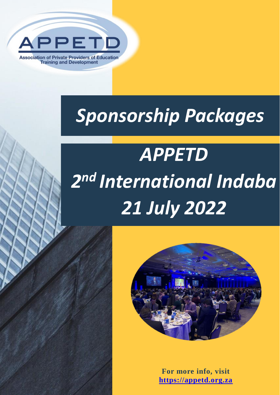

# *Sponsorship Packages*

# *APPETD 2 nd International Indaba 21 July 2022*



**For more info, visit [https://appetd.org.za](https://appetd.org.za/)**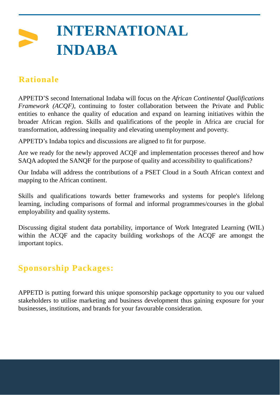### **INTERNATIONAL INDABA**

#### **Rationale**

APPETD'S second International Indaba will focus on the *African Continental Qualifications Framework (ACQF),* continuing to foster collaboration between the Private and Public entities to enhance the quality of education and expand on learning initiatives within the broader African region. Skills and qualifications of the people in Africa are crucial for transformation, addressing inequality and elevating unemployment and poverty.

APPETD's Indaba topics and discussions are aligned to fit for purpose.

Are we ready for the newly approved ACQF and implementation processes thereof and how SAQA adopted the SANQF for the purpose of quality and accessibility to qualifications?

Our Indaba will address the contributions of a PSET Cloud in a South African context and mapping to the African continent.

Skills and qualifications towards better frameworks and systems for people's lifelong learning, including comparisons of formal and informal programmes/courses in the global employability and quality systems.

Discussing digital student data portability, importance of Work Integrated Learning (WIL) within the ACQF and the capacity building workshops of the ACQF are amongst the important topics.

#### **Sponsorship Packages:**

APPETD is putting forward this unique sponsorship package opportunity to you our valued stakeholders to utilise marketing and business development thus gaining exposure for your businesses, institutions, and brands for your favourable consideration.